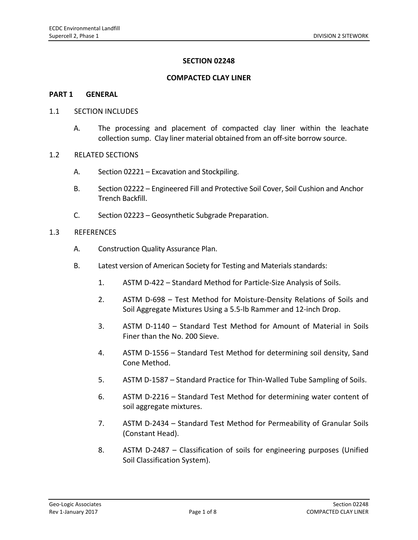## **SECTION 02248**

### **COMPACTED CLAY LINER**

#### **PART 1 GENERAL**

### 1.1 SECTION INCLUDES

A. The processing and placement of compacted clay liner within the leachate collection sump. Clay liner material obtained from an off‐site borrow source.

### 1.2 RELATED SECTIONS

- A. Section 02221 Excavation and Stockpiling.
- B. Section 02222 Engineered Fill and Protective Soil Cover, Soil Cushion and Anchor Trench Backfill.
- C. Section 02223 Geosynthetic Subgrade Preparation.

## 1.3 REFERENCES

- A. Construction Quality Assurance Plan.
- B. Latest version of American Society for Testing and Materials standards:
	- 1. ASTM D‐422 Standard Method for Particle‐Size Analysis of Soils.
	- 2. ASTM D-698 Test Method for Moisture-Density Relations of Soils and Soil Aggregate Mixtures Using a 5.5‐lb Rammer and 12‐inch Drop.
	- 3. ASTM D‐1140 Standard Test Method for Amount of Material in Soils Finer than the No. 200 Sieve.
	- 4. ASTM D‐1556 Standard Test Method for determining soil density, Sand Cone Method.
	- 5. ASTM D-1587 Standard Practice for Thin-Walled Tube Sampling of Soils.
	- 6. ASTM D‐2216 Standard Test Method for determining water content of soil aggregate mixtures.
	- 7. ASTM D-2434 Standard Test Method for Permeability of Granular Soils (Constant Head).
	- 8. ASTM D‐2487 Classification of soils for engineering purposes (Unified Soil Classification System).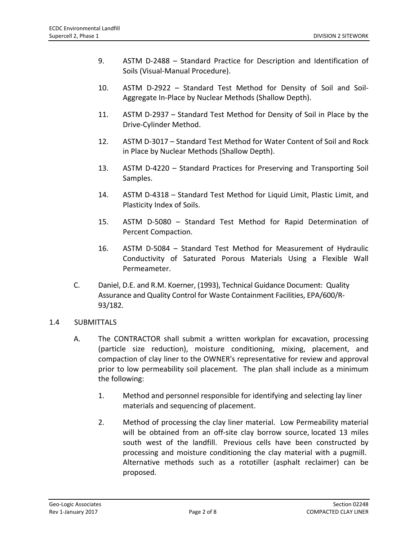- 9. ASTM D‐2488 Standard Practice for Description and Identification of Soils (Visual‐Manual Procedure).
- 10. ASTM D‐2922 Standard Test Method for Density of Soil and Soil‐ Aggregate In‐Place by Nuclear Methods (Shallow Depth).
- 11. ASTM D‐2937 Standard Test Method for Density of Soil in Place by the Drive‐Cylinder Method.
- 12. ASTM D‐3017 Standard Test Method for Water Content of Soil and Rock in Place by Nuclear Methods (Shallow Depth).
- 13. ASTM D-4220 Standard Practices for Preserving and Transporting Soil Samples.
- 14. ASTM D-4318 Standard Test Method for Liquid Limit, Plastic Limit, and Plasticity Index of Soils.
- 15. ASTM D‐5080 Standard Test Method for Rapid Determination of Percent Compaction.
- 16. ASTM D‐5084 Standard Test Method for Measurement of Hydraulic Conductivity of Saturated Porous Materials Using a Flexible Wall Permeameter.
- C. Daniel, D.E. and R.M. Koerner, (1993), Technical Guidance Document: Quality Assurance and Quality Control for Waste Containment Facilities, EPA/600/R‐ 93/182.

# 1.4 SUBMITTALS

- A. The CONTRACTOR shall submit a written workplan for excavation, processing (particle size reduction), moisture conditioning, mixing, placement, and compaction of clay liner to the OWNER's representative for review and approval prior to low permeability soil placement. The plan shall include as a minimum the following:
	- 1. Method and personnel responsible for identifying and selecting lay liner materials and sequencing of placement.
	- 2. Method of processing the clay liner material. Low Permeability material will be obtained from an off-site clay borrow source, located 13 miles south west of the landfill. Previous cells have been constructed by processing and moisture conditioning the clay material with a pugmill. Alternative methods such as a rototiller (asphalt reclaimer) can be proposed.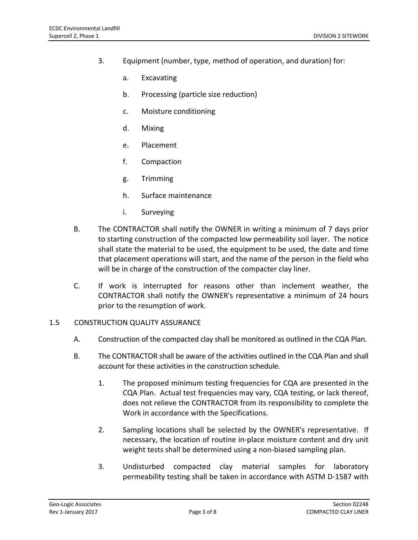- 3. Equipment (number, type, method of operation, and duration) for:
	- a. Excavating
	- b. Processing (particle size reduction)
	- c. Moisture conditioning
	- d. Mixing
	- e. Placement
	- f. Compaction
	- g. Trimming
	- h. Surface maintenance
	- i. Surveying
- B. The CONTRACTOR shall notify the OWNER in writing a minimum of 7 days prior to starting construction of the compacted low permeability soil layer. The notice shall state the material to be used, the equipment to be used, the date and time that placement operations will start, and the name of the person in the field who will be in charge of the construction of the compacter clay liner.
- C. If work is interrupted for reasons other than inclement weather, the CONTRACTOR shall notify the OWNER's representative a minimum of 24 hours prior to the resumption of work.

### 1.5 CONSTRUCTION QUALITY ASSURANCE

- A. Construction of the compacted clay shall be monitored as outlined in the CQA Plan.
- B. The CONTRACTOR shall be aware of the activities outlined in the CQA Plan and shall account for these activities in the construction schedule.
	- 1. The proposed minimum testing frequencies for CQA are presented in the CQA Plan. Actual test frequencies may vary, CQA testing, or lack thereof, does not relieve the CONTRACTOR from its responsibility to complete the Work in accordance with the Specifications.
	- 2. Sampling locations shall be selected by the OWNER's representative. If necessary, the location of routine in‐place moisture content and dry unit weight tests shall be determined using a non‐biased sampling plan.
	- 3. Undisturbed compacted clay material samples for laboratory permeability testing shall be taken in accordance with ASTM D‐1587 with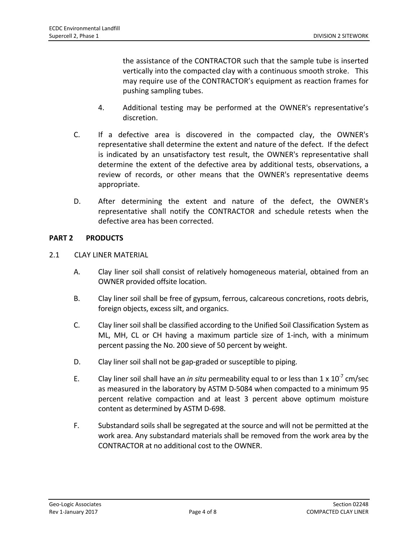the assistance of the CONTRACTOR such that the sample tube is inserted vertically into the compacted clay with a continuous smooth stroke. This may require use of the CONTRACTOR's equipment as reaction frames for pushing sampling tubes.

- 4. Additional testing may be performed at the OWNER's representative's discretion.
- C. If a defective area is discovered in the compacted clay, the OWNER's representative shall determine the extent and nature of the defect. If the defect is indicated by an unsatisfactory test result, the OWNER's representative shall determine the extent of the defective area by additional tests, observations, a review of records, or other means that the OWNER's representative deems appropriate.
- D. After determining the extent and nature of the defect, the OWNER's representative shall notify the CONTRACTOR and schedule retests when the defective area has been corrected.

# **PART 2 PRODUCTS**

## 2.1 CLAY LINER MATERIAL

- A. Clay liner soil shall consist of relatively homogeneous material, obtained from an OWNER provided offsite location.
- B. Clay liner soil shall be free of gypsum, ferrous, calcareous concretions, roots debris, foreign objects, excess silt, and organics.
- C. Clay liner soil shall be classified according to the Unified Soil Classification System as ML, MH, CL or CH having a maximum particle size of 1‐inch, with a minimum percent passing the No. 200 sieve of 50 percent by weight.
- D. Clay liner soil shall not be gap-graded or susceptible to piping.
- E. Clay liner soil shall have an *in situ* permeability equal to or less than 1 x 10<sup>-7</sup> cm/sec as measured in the laboratory by ASTM D‐5084 when compacted to a minimum 95 percent relative compaction and at least 3 percent above optimum moisture content as determined by ASTM D‐698.
- F. Substandard soils shall be segregated at the source and will not be permitted at the work area. Any substandard materials shall be removed from the work area by the CONTRACTOR at no additional cost to the OWNER.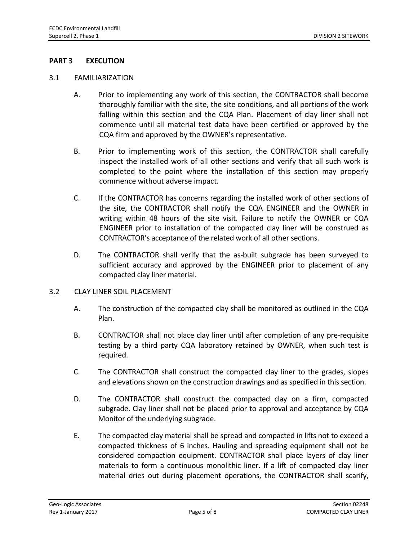## **PART 3 EXECUTION**

### 3.1 FAMILIARIZATION

- A. Prior to implementing any work of this section, the CONTRACTOR shall become thoroughly familiar with the site, the site conditions, and all portions of the work falling within this section and the CQA Plan. Placement of clay liner shall not commence until all material test data have been certified or approved by the CQA firm and approved by the OWNER's representative.
- B. Prior to implementing work of this section, the CONTRACTOR shall carefully inspect the installed work of all other sections and verify that all such work is completed to the point where the installation of this section may properly commence without adverse impact.
- C. If the CONTRACTOR has concerns regarding the installed work of other sections of the site, the CONTRACTOR shall notify the CQA ENGINEER and the OWNER in writing within 48 hours of the site visit. Failure to notify the OWNER or CQA ENGINEER prior to installation of the compacted clay liner will be construed as CONTRACTOR's acceptance of the related work of all other sections.
- D. The CONTRACTOR shall verify that the as-built subgrade has been surveyed to sufficient accuracy and approved by the ENGINEER prior to placement of any compacted clay liner material.

### 3.2 CLAY LINER SOIL PLACEMENT

- A. The construction of the compacted clay shall be monitored as outlined in the CQA Plan.
- B. CONTRACTOR shall not place clay liner until after completion of any pre‐requisite testing by a third party CQA laboratory retained by OWNER, when such test is required.
- C. The CONTRACTOR shall construct the compacted clay liner to the grades, slopes and elevations shown on the construction drawings and as specified in this section.
- D. The CONTRACTOR shall construct the compacted clay on a firm, compacted subgrade. Clay liner shall not be placed prior to approval and acceptance by CQA Monitor of the underlying subgrade.
- E. The compacted clay material shall be spread and compacted in lifts not to exceed a compacted thickness of 6 inches. Hauling and spreading equipment shall not be considered compaction equipment. CONTRACTOR shall place layers of clay liner materials to form a continuous monolithic liner. If a lift of compacted clay liner material dries out during placement operations, the CONTRACTOR shall scarify,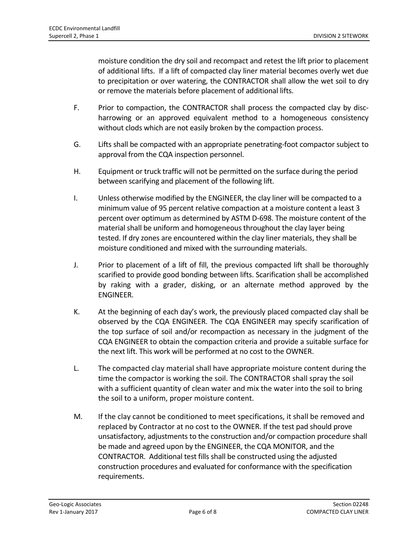moisture condition the dry soil and recompact and retest the lift prior to placement of additional lifts. If a lift of compacted clay liner material becomes overly wet due to precipitation or over watering, the CONTRACTOR shall allow the wet soil to dry or remove the materials before placement of additional lifts.

- F. Prior to compaction, the CONTRACTOR shall process the compacted clay by discharrowing or an approved equivalent method to a homogeneous consistency without clods which are not easily broken by the compaction process.
- G. Lifts shall be compacted with an appropriate penetrating‐foot compactor subject to approval from the CQA inspection personnel.
- H. Equipment or truck traffic will not be permitted on the surface during the period between scarifying and placement of the following lift.
- I. Unless otherwise modified by the ENGINEER, the clay liner will be compacted to a minimum value of 95 percent relative compaction at a moisture content a least 3 percent over optimum as determined by ASTM D‐698. The moisture content of the material shall be uniform and homogeneous throughout the clay layer being tested. If dry zones are encountered within the clay liner materials, they shall be moisture conditioned and mixed with the surrounding materials.
- J. Prior to placement of a lift of fill, the previous compacted lift shall be thoroughly scarified to provide good bonding between lifts. Scarification shall be accomplished by raking with a grader, disking, or an alternate method approved by the ENGINEER.
- K. At the beginning of each day's work, the previously placed compacted clay shall be observed by the CQA ENGINEER. The CQA ENGINEER may specify scarification of the top surface of soil and/or recompaction as necessary in the judgment of the CQA ENGINEER to obtain the compaction criteria and provide a suitable surface for the next lift. This work will be performed at no cost to the OWNER.
- L. The compacted clay material shall have appropriate moisture content during the time the compactor is working the soil. The CONTRACTOR shall spray the soil with a sufficient quantity of clean water and mix the water into the soil to bring the soil to a uniform, proper moisture content.
- M. If the clay cannot be conditioned to meet specifications, it shall be removed and replaced by Contractor at no cost to the OWNER. If the test pad should prove unsatisfactory, adjustments to the construction and/or compaction procedure shall be made and agreed upon by the ENGINEER, the CQA MONITOR, and the CONTRACTOR. Additional test fills shall be constructed using the adjusted construction procedures and evaluated for conformance with the specification requirements.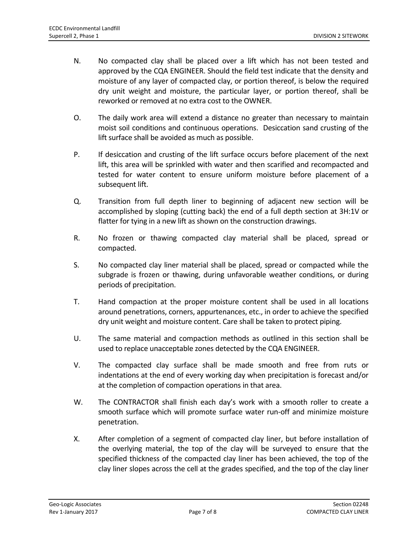- N. No compacted clay shall be placed over a lift which has not been tested and approved by the CQA ENGINEER. Should the field test indicate that the density and moisture of any layer of compacted clay, or portion thereof, is below the required dry unit weight and moisture, the particular layer, or portion thereof, shall be reworked or removed at no extra cost to the OWNER.
- O. The daily work area will extend a distance no greater than necessary to maintain moist soil conditions and continuous operations. Desiccation sand crusting of the lift surface shall be avoided as much as possible.
- P. If desiccation and crusting of the lift surface occurs before placement of the next lift, this area will be sprinkled with water and then scarified and recompacted and tested for water content to ensure uniform moisture before placement of a subsequent lift.
- Q. Transition from full depth liner to beginning of adjacent new section will be accomplished by sloping (cutting back) the end of a full depth section at 3H:1V or flatter for tying in a new lift as shown on the construction drawings.
- R. No frozen or thawing compacted clay material shall be placed, spread or compacted.
- S. No compacted clay liner material shall be placed, spread or compacted while the subgrade is frozen or thawing, during unfavorable weather conditions, or during periods of precipitation.
- T. Hand compaction at the proper moisture content shall be used in all locations around penetrations, corners, appurtenances, etc., in order to achieve the specified dry unit weight and moisture content. Care shall be taken to protect piping.
- U. The same material and compaction methods as outlined in this section shall be used to replace unacceptable zones detected by the CQA ENGINEER.
- V. The compacted clay surface shall be made smooth and free from ruts or indentations at the end of every working day when precipitation is forecast and/or at the completion of compaction operations in that area.
- W. The CONTRACTOR shall finish each day's work with a smooth roller to create a smooth surface which will promote surface water run-off and minimize moisture penetration.
- X. After completion of a segment of compacted clay liner, but before installation of the overlying material, the top of the clay will be surveyed to ensure that the specified thickness of the compacted clay liner has been achieved, the top of the clay liner slopes across the cell at the grades specified, and the top of the clay liner